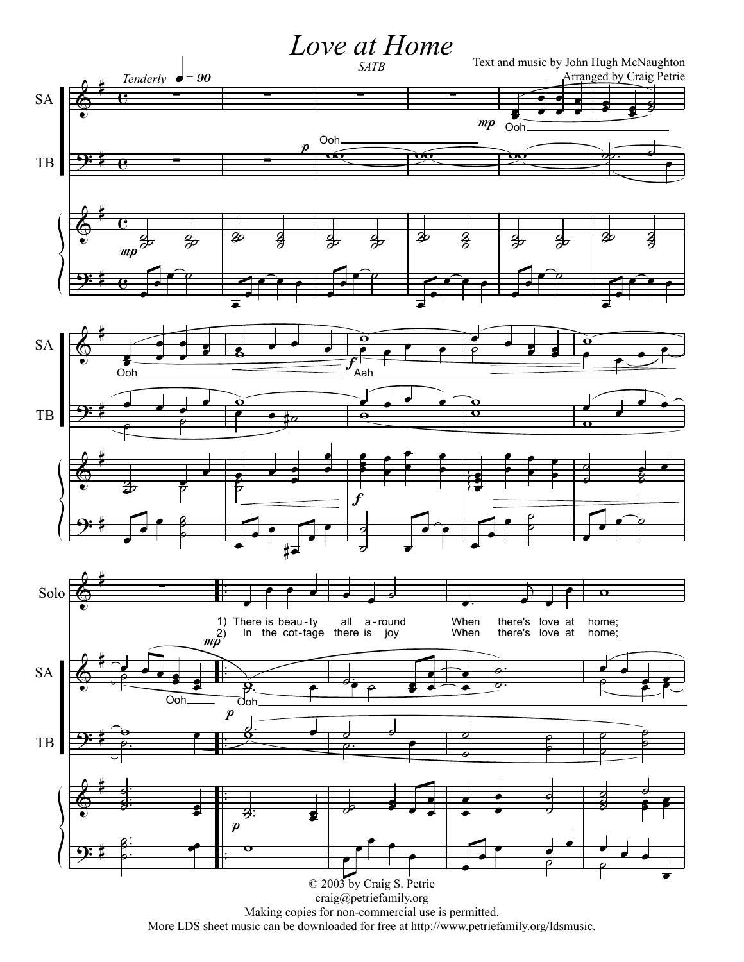

Making copies for non-commercial use is permitted. More LDS sheet music can be downloaded for free at http://www.petriefamily.org/ldsmusic.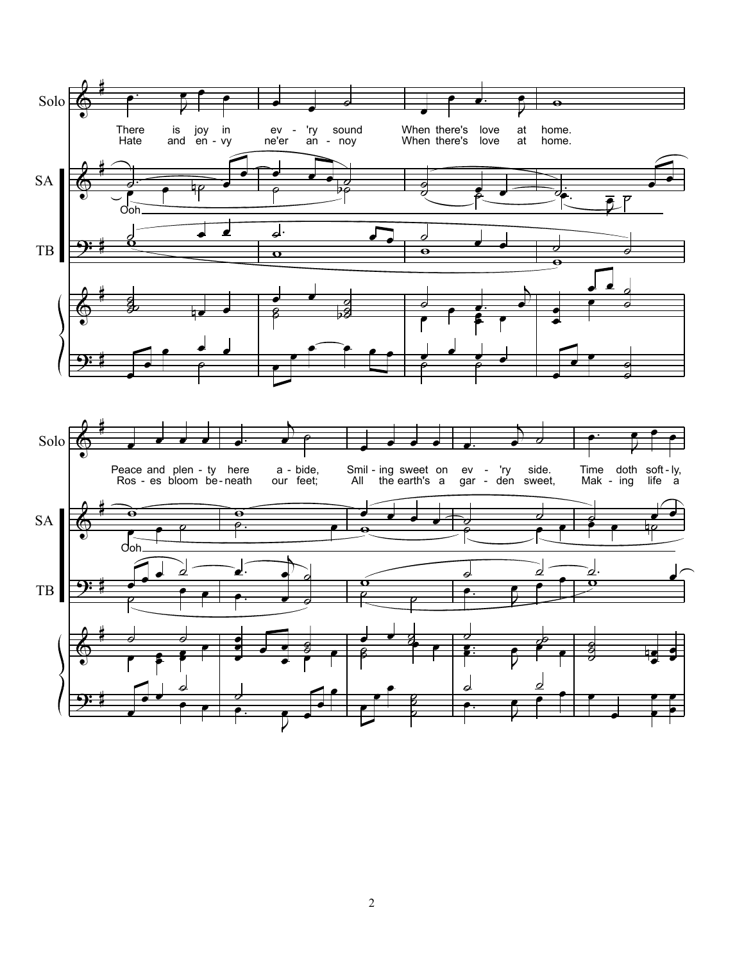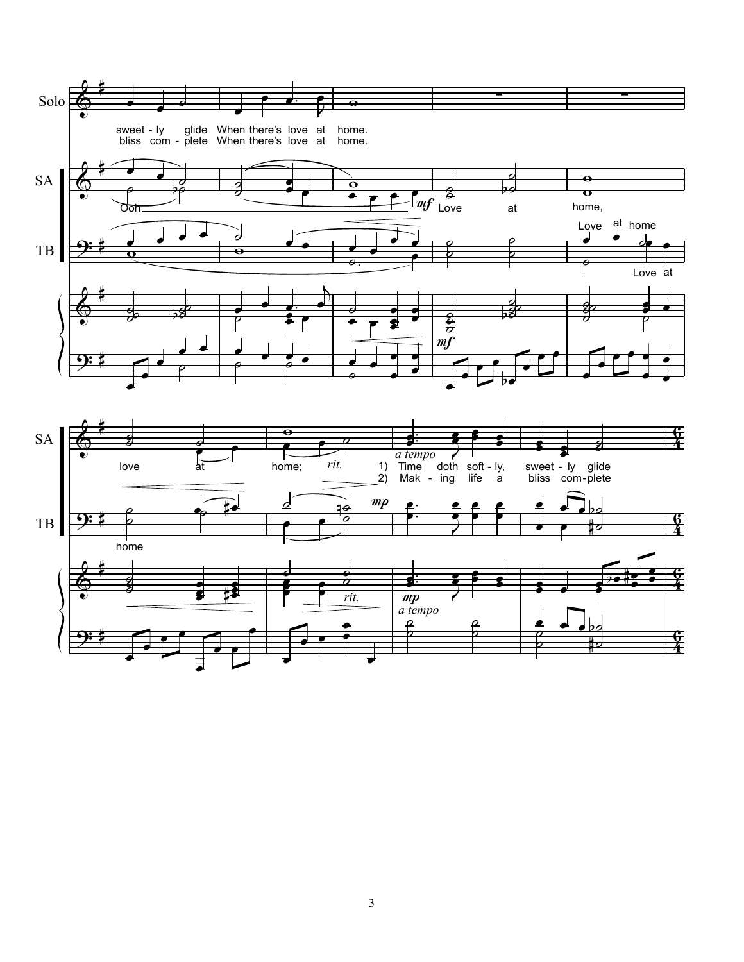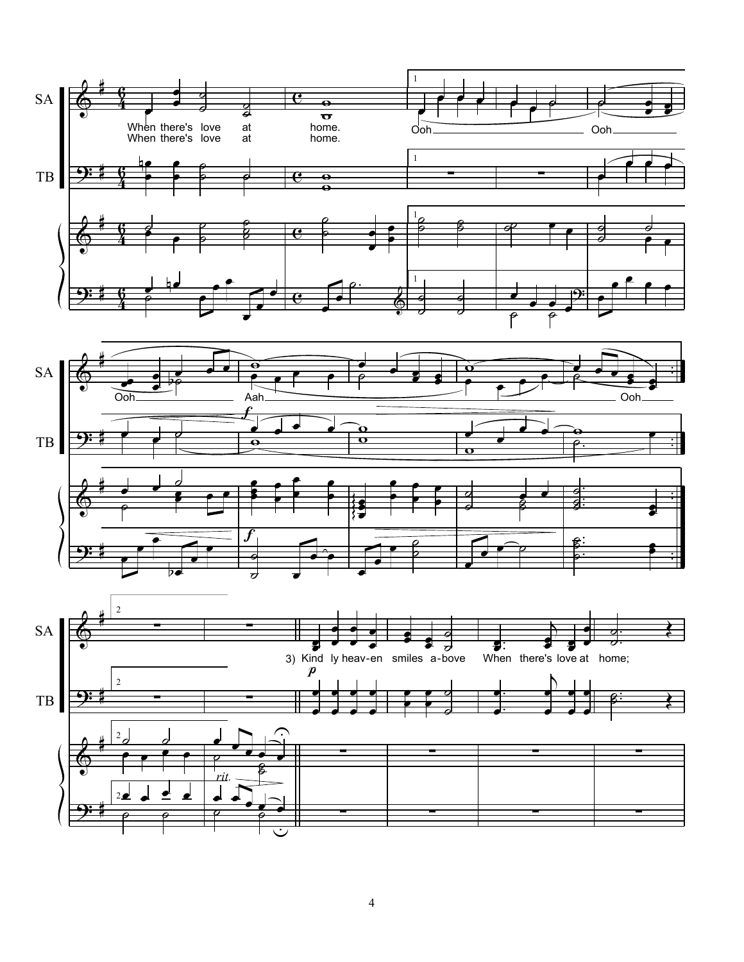

4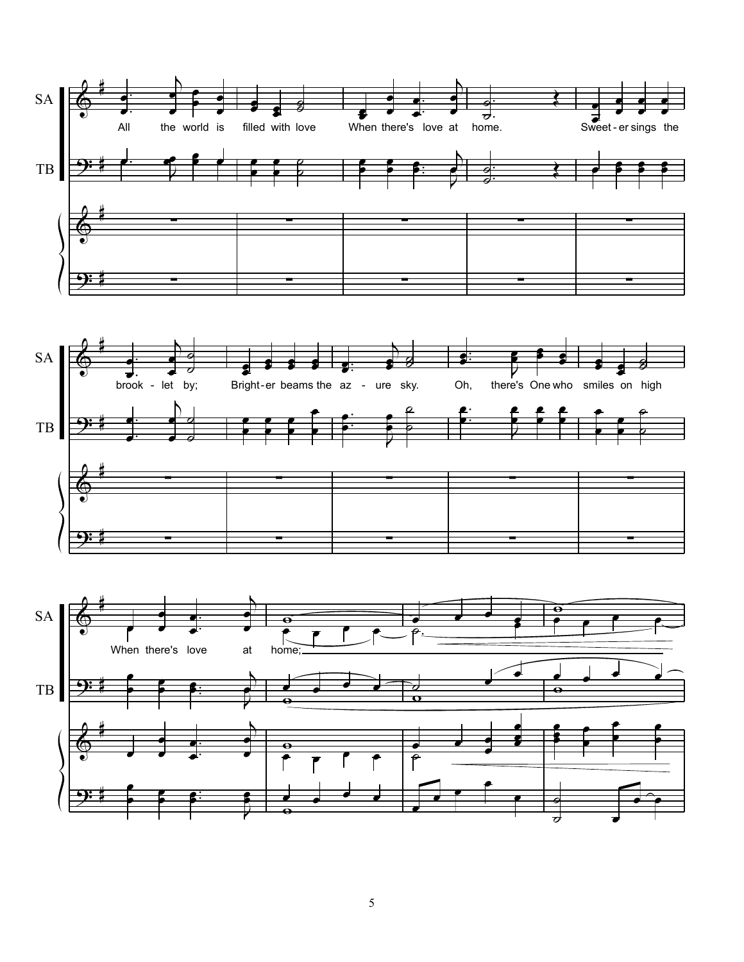